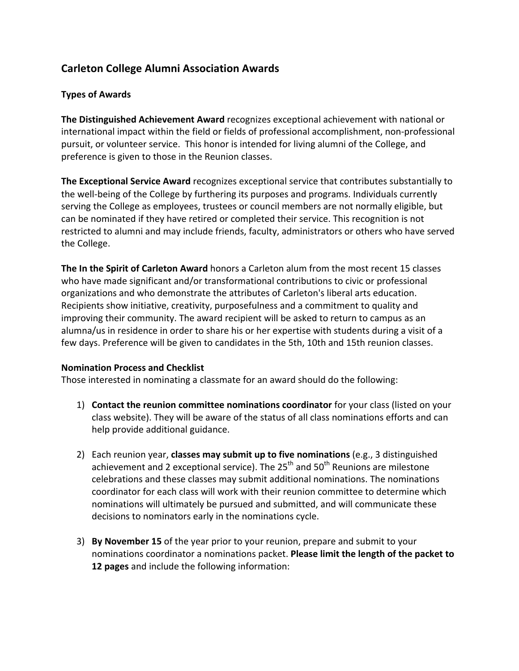# **Carleton College Alumni Association Awards**

### **Types of Awards**

**The Distinguished Achievement Award** recognizes exceptional achievement with national or international impact within the field or fields of professional accomplishment, non-professional pursuit, or volunteer service. This honor is intended for living alumni of the College, and preference is given to those in the Reunion classes.

The Exceptional Service Award recognizes exceptional service that contributes substantially to the well-being of the College by furthering its purposes and programs. Individuals currently serving the College as employees, trustees or council members are not normally eligible, but can be nominated if they have retired or completed their service. This recognition is not restricted to alumni and may include friends, faculty, administrators or others who have served the College.

**The In the Spirit of Carleton Award** honors a Carleton alum from the most recent 15 classes who have made significant and/or transformational contributions to civic or professional organizations and who demonstrate the attributes of Carleton's liberal arts education. Recipients show initiative, creativity, purposefulness and a commitment to quality and improving their community. The award recipient will be asked to return to campus as an alumna/us in residence in order to share his or her expertise with students during a visit of a few days. Preference will be given to candidates in the 5th, 10th and 15th reunion classes.

#### **Nomination Process and Checklist**

Those interested in nominating a classmate for an award should do the following:

- 1) **Contact the reunion committee nominations coordinator** for your class (listed on your class website). They will be aware of the status of all class nominations efforts and can help provide additional guidance.
- 2) Each reunion year, **classes may submit up to five nominations** (e.g., 3 distinguished achievement and 2 exceptional service). The  $25<sup>th</sup>$  and  $50<sup>th</sup>$  Reunions are milestone celebrations and these classes may submit additional nominations. The nominations coordinator for each class will work with their reunion committee to determine which nominations will ultimately be pursued and submitted, and will communicate these decisions to nominators early in the nominations cycle.
- 3) **By November 15** of the year prior to your reunion, prepare and submit to your nominations coordinator a nominations packet. Please limit the length of the packet to **12 pages** and include the following information: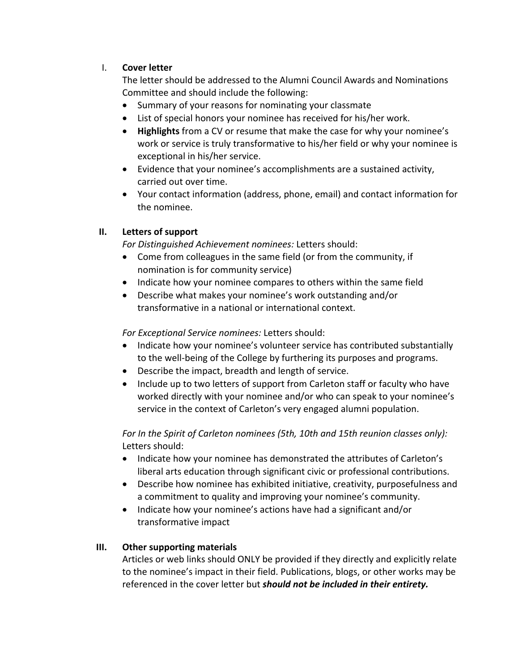## I. **Cover letter**

The letter should be addressed to the Alumni Council Awards and Nominations Committee and should include the following:

- Summary of your reasons for nominating your classmate
- List of special honors your nominee has received for his/her work.
- **Highlights** from a CV or resume that make the case for why your nominee's work or service is truly transformative to his/her field or why your nominee is exceptional in his/her service.
- Evidence that your nominee's accomplishments are a sustained activity, carried out over time.
- Your contact information (address, phone, email) and contact information for the nominee.

# **II.** Letters of support

*For Distinguished Achievement nominees:* Letters should:

- Come from colleagues in the same field (or from the community, if nomination is for community service)
- Indicate how your nominee compares to others within the same field
- Describe what makes your nominee's work outstanding and/or transformative in a national or international context.

*For Exceptional Service nominees:* Letters should:

- Indicate how your nominee's volunteer service has contributed substantially to the well-being of the College by furthering its purposes and programs.
- $\bullet$  Describe the impact, breadth and length of service.
- Include up to two letters of support from Carleton staff or faculty who have worked directly with your nominee and/or who can speak to your nominee's service in the context of Carleton's very engaged alumni population.

For In the Spirit of Carleton nominees (5th, 10th and 15th reunion classes only): Letters should:

- Indicate how your nominee has demonstrated the attributes of Carleton's liberal arts education through significant civic or professional contributions.
- Describe how nominee has exhibited initiative, creativity, purposefulness and a commitment to quality and improving your nominee's community.
- Indicate how your nominee's actions have had a significant and/or transformative impact

### **III.** Other supporting materials

Articles or web links should ONLY be provided if they directly and explicitly relate to the nominee's impact in their field. Publications, blogs, or other works may be referenced in the cover letter but *should not be included in their entirety.*